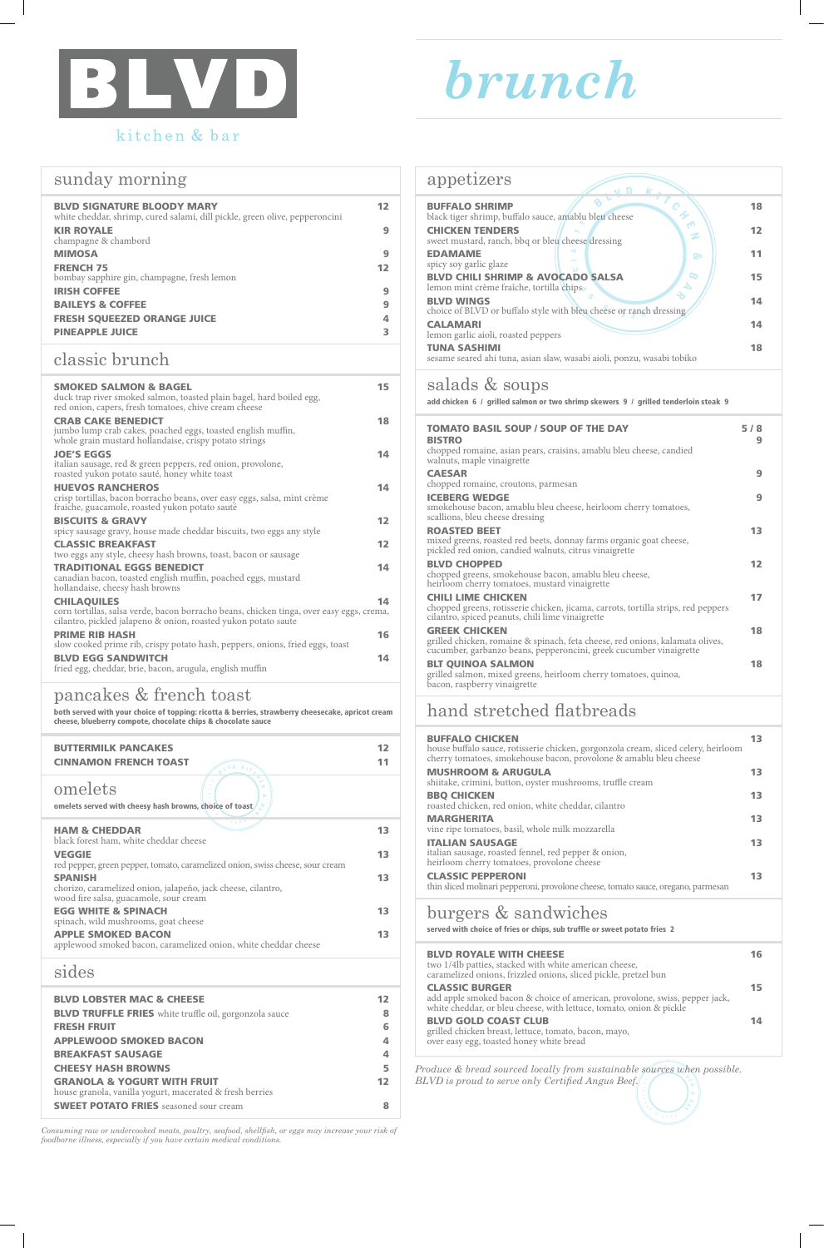



# kitchen & bar

| sunday morning |
|----------------|

| <b>BLVD SIGNATURE BLOODY MARY</b><br>white cheddar, shrimp, cured salami, dill pickle, green olive, pepperoncini | 12 |
|------------------------------------------------------------------------------------------------------------------|----|
| <b>KIR ROYALE</b><br>champagne & chambord                                                                        | 9  |
| <b>MIMOSA</b>                                                                                                    | 9  |
| <b>FRENCH 75</b><br>bombay sapphire gin, champagne, fresh lemon                                                  | 12 |
| <b>IRISH COFFEE</b>                                                                                              | 9  |
| <b>BAILEYS &amp; COFFEE</b>                                                                                      | 9  |
| <b>FRESH SOUEEZED ORANGE JUICE</b>                                                                               | 4  |
| <b>PINEAPPLE JUICE</b>                                                                                           | з  |

## classic brunch

| ЭГАШЭП<br>chorizo, caramelized onion, jalapeño, jack cheese, cilantro,<br>wood fire salsa, guacamole, sour cream | 12                      |
|------------------------------------------------------------------------------------------------------------------|-------------------------|
| <b>EGG WHITE &amp; SPINACH</b><br>spinach, wild mushrooms, goat cheese                                           | 13                      |
| <b>APPLE SMOKED BACON</b><br>applewood smoked bacon, caramelized onion, white cheddar cheese                     | 13                      |
| sides                                                                                                            |                         |
| <b>BLVD LOBSTER MAC &amp; CHEESE</b>                                                                             | 12                      |
|                                                                                                                  |                         |
| <b>BLVD TRUFFLE FRIES</b> white truffle oil, gorgonzola sauce                                                    | 8                       |
| <b>FRESH FRUIT</b>                                                                                               | 6                       |
| <b>APPLEWOOD SMOKED BACON</b>                                                                                    | 4                       |
| <b>BREAKFAST SAUSAGE</b>                                                                                         | $\overline{\mathbf{A}}$ |
| <b>CHEESY HASH BROWNS</b>                                                                                        | 5                       |
| <b>GRANOLA &amp; YOGURT WITH FRUIT</b><br>house granola, vanilla yogurt, macerated & fresh berries               | 12                      |
| <b>SWEET POTATO FRIES</b> seasoned sour cream                                                                    | 8                       |

| <b>SMOKED SALMON &amp; BAGEL</b><br>duck trap river smoked salmon, toasted plain bagel, hard boiled egg,<br>red onion, capers, fresh tomatoes, chive cream cheese                | 15 |
|----------------------------------------------------------------------------------------------------------------------------------------------------------------------------------|----|
| <b>CRAB CAKE BENEDICT</b><br>jumbo lump crab cakes, poached eggs, toasted english muffin,<br>whole grain mustard hollandaise, crispy potato strings                              | 18 |
| <b>JOE'S EGGS</b><br>italian sausage, red & green peppers, red onion, provolone,<br>roasted yukon potato sauté, honey white toast                                                | 14 |
| <b>HUEVOS RANCHEROS</b><br>crisp tortillas, bacon borracho beans, over easy eggs, salsa, mint crème<br>fraiche, guacamole, roasted yukon potato sauté                            | 14 |
| <b>BISCUITS &amp; GRAVY</b><br>spicy sausage gravy, house made cheddar biscuits, two eggs any style                                                                              | 12 |
| <b>CLASSIC BREAKFAST</b><br>two eggs any style, cheesy hash browns, toast, bacon or sausage                                                                                      | 12 |
| <b>TRADITIONAL EGGS BENEDICT</b><br>canadian bacon, toasted english muffin, poached eggs, mustard<br>hollandaise, cheesy hash browns                                             | 14 |
| <b>CHILAQUILES</b><br>corn tortillas, salsa verde, bacon borracho beans, chicken tinga, over easy eggs, crema,<br>cilantro, pickled jalapeno & onion, roasted yukon potato saute | 14 |
| <b>PRIME RIB HASH</b><br>slow cooked prime rib, crispy potato hash, peppers, onions, fried eggs, toast                                                                           | 16 |
| <b>BLVD EGG SANDWITCH</b><br>fried egg, cheddar, brie, bacon, arugula, english muffin                                                                                            | 14 |

| <b>BUFFALO SHRIMP</b><br>black tiger shrimp, buffalo sauce, amablu bleu cheese                | 18 |  |
|-----------------------------------------------------------------------------------------------|----|--|
| <b>CHICKEN TENDERS</b><br>Ź<br>sweet mustard, ranch, bbq or bleu cheese dressing              | 12 |  |
| <b>EDAMAME</b><br>ନ୍ତ<br>spicy soy garlic glaze                                               | 11 |  |
| <b>BLVD CHILI SHRIMP &amp; AVOCADO SALSA</b><br>lemon mint crème fraîche, tortilla chips      | 15 |  |
| <b>BLVD WINGS</b><br>choice of BLVD or buffalo style with bleu cheese or ranch dressing       | 14 |  |
| <b>CALAMARI</b><br>lemon garlic aioli, roasted peppers                                        | 14 |  |
| <b>TUNA SASHIMI</b><br>sesame seared ahi tuna, asian slaw, wasabi aioli, ponzu, wasabi tobiko | 18 |  |
|                                                                                               |    |  |

### pancakes & french toast

both served with your choice of topping: ricotta & berries, strawberry cheesecake, apricot cream cheese, blueberry compote, chocolate chips & chocolate sauce

| <b>BUTTERMILK PANCAKES</b><br><b>CINNAMON FRENCH TOAST</b>                                                                                  |    |
|---------------------------------------------------------------------------------------------------------------------------------------------|----|
| omelets<br><b>Co</b><br>omelets served with cheesy hash browns, choice of toast                                                             |    |
| $\mathcal{L} = \mathcal{L} = \mathcal{L} = \mathcal{L} = \mathcal{L}$<br><b>HAM &amp; CHEDDAR</b><br>black forest ham, white cheddar cheese |    |
| <b>VEGGIE</b>                                                                                                                               | 13 |
| red pepper, green pepper, tomato, caramelized onion, swiss cheese, sour cream<br><b>SPANISH</b>                                             |    |

|  | appetizers |
|--|------------|
|  |            |

Produce & bread sourced locally from sustainable sources when possible.  $\sum_{i=1}^{n}$ *BLVD is proud to serve only Certified Angus Beef.*

 $\hat{\cdot}$ 

## salads & soups

add chicken 6 / grilled salmon or two shrimp skewers 9 / grilled tenderloin steak 9

| <b>TOMATO BASIL SOUP / SOUP OF THE DAY</b><br><b>BISTRO</b><br>chopped romaine, asian pears, craisins, amablu bleu cheese, candied<br>walnuts, maple vinaigrette            | 5/8<br>9 |
|-----------------------------------------------------------------------------------------------------------------------------------------------------------------------------|----------|
| <b>CAESAR</b><br>chopped romaine, croutons, parmesan                                                                                                                        | q        |
| <b>ICEBERG WEDGE</b><br>smokehouse bacon, amablu bleu cheese, heirloom cherry tomatoes,<br>scallions, bleu cheese dressing                                                  | 9        |
| <b>ROASTED BEET</b><br>mixed greens, roasted red beets, donnay farms organic goat cheese,<br>pickled red onion, candied walnuts, citrus vinaigrette                         | 13       |
| <b>BLVD CHOPPED</b><br>chopped greens, smokehouse bacon, amablu bleu cheese,<br>heirloom cherry tomatoes, mustard vinaigrette                                               | 12       |
| <b>CHILI LIME CHICKEN</b><br>chopped greens, rotisserie chicken, jicama, carrots, tortilla strips, red peppers<br>cilantro, spiced peanuts, chili lime vinaigrette          | 17       |
| <b>GREEK CHICKEN</b><br>grilled chicken, romaine & spinach, feta cheese, red onions, kalamata olives,<br>cucumber, garbanzo beans, pepperoncini, greek cucumber vinaigrette | 18       |
| <b>BLT QUINOA SALMON</b><br>grilled salmon, mixed greens, heirloom cherry tomatoes, quinoa,<br>bacon, raspberry vinaigrette                                                 | 18       |

## hand stretched flatbreads

| <b>BUFFALO CHICKEN</b><br>house buffalo sauce, rotisserie chicken, gorgonzola cream, sliced celery, heirloom<br>cherry tomatoes, smokehouse bacon, provolone & amablu bleu cheese |    |
|-----------------------------------------------------------------------------------------------------------------------------------------------------------------------------------|----|
| <b>MUSHROOM &amp; ARUGULA</b><br>shiitake, crimini, button, oyster mushrooms, truffle cream                                                                                       | 13 |
| <b>BBQ CHICKEN</b><br>roasted chicken, red onion, white cheddar, cilantro                                                                                                         | 13 |
| <b>MARGHERITA</b><br>vine ripe tomatoes, basil, whole milk mozzarella                                                                                                             | 13 |
| <b>ITALIAN SAUSAGE</b><br>italian sausage, roasted fennel, red pepper & onion,<br>heirloom cherry tomatoes, provolone cheese                                                      | 13 |
| <b>CLASSIC PEPPERONI</b>                                                                                                                                                          |    |

| thin sliced molinari pepperoni, provolone cheese, tomato sauce, oregano, parmesan |  |  |  |  |  |  |  |  |  |  |  |  |
|-----------------------------------------------------------------------------------|--|--|--|--|--|--|--|--|--|--|--|--|
|-----------------------------------------------------------------------------------|--|--|--|--|--|--|--|--|--|--|--|--|

## burgers & sandwiches

served with choice of fries or chips, sub truffle or sweet potato fries 2

#### BLVD ROYALE WITH CHEESE 16 two 1/4lb patties, stacked with white american cheese, caramelized onions, frizzled onions, sliced pickle, pretzel bun CLASSIC BURGER 15 add apple smoked bacon & choice of american, provolone, swiss, pepper jack, white cheddar, or bleu cheese, with lettuce, tomato, onion & pickle BLVD GOLD COAST CLUB 14

grilled chicken breast, lettuce, tomato, bacon, mayo, over easy egg, toasted honey white bread

*Consuming raw or undercooked meats, poultry, seafood, shellfish, or eggs may increase your risk of foodborne illness, especially if you have certain medical conditions.*